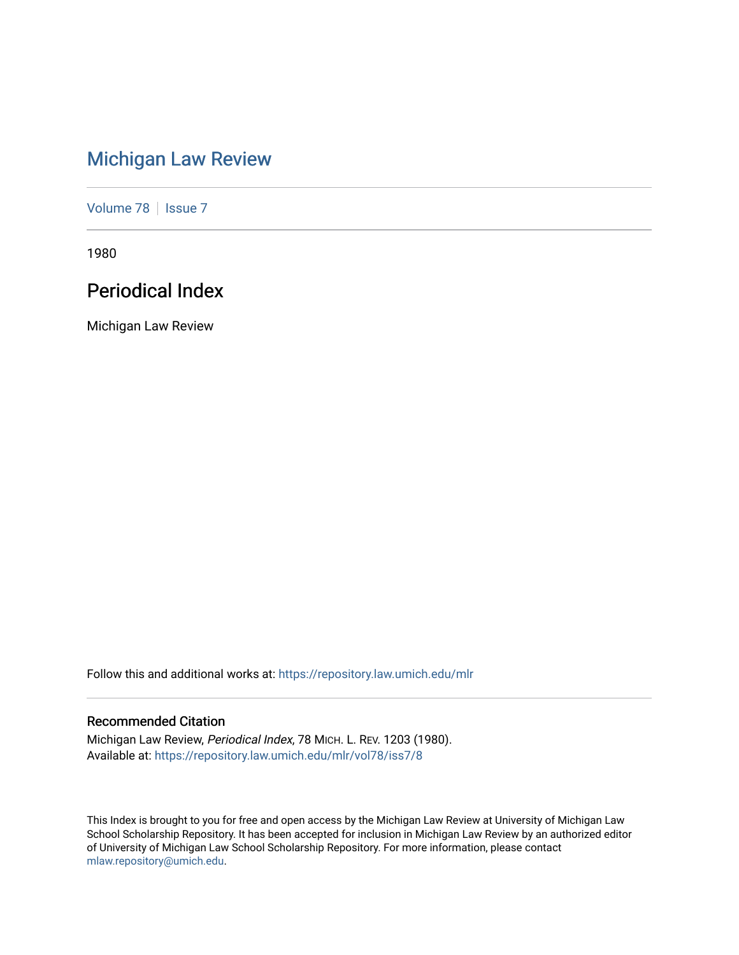# [Michigan Law Review](https://repository.law.umich.edu/mlr)

[Volume 78](https://repository.law.umich.edu/mlr/vol78) | [Issue 7](https://repository.law.umich.edu/mlr/vol78/iss7)

1980

# Periodical Index

Michigan Law Review

Follow this and additional works at: [https://repository.law.umich.edu/mlr](https://repository.law.umich.edu/mlr?utm_source=repository.law.umich.edu%2Fmlr%2Fvol78%2Fiss7%2F8&utm_medium=PDF&utm_campaign=PDFCoverPages) 

# Recommended Citation

Michigan Law Review, Periodical Index, 78 MICH. L. REV. 1203 (1980). Available at: [https://repository.law.umich.edu/mlr/vol78/iss7/8](https://repository.law.umich.edu/mlr/vol78/iss7/8?utm_source=repository.law.umich.edu%2Fmlr%2Fvol78%2Fiss7%2F8&utm_medium=PDF&utm_campaign=PDFCoverPages)

This Index is brought to you for free and open access by the Michigan Law Review at University of Michigan Law School Scholarship Repository. It has been accepted for inclusion in Michigan Law Review by an authorized editor of University of Michigan Law School Scholarship Repository. For more information, please contact [mlaw.repository@umich.edu.](mailto:mlaw.repository@umich.edu)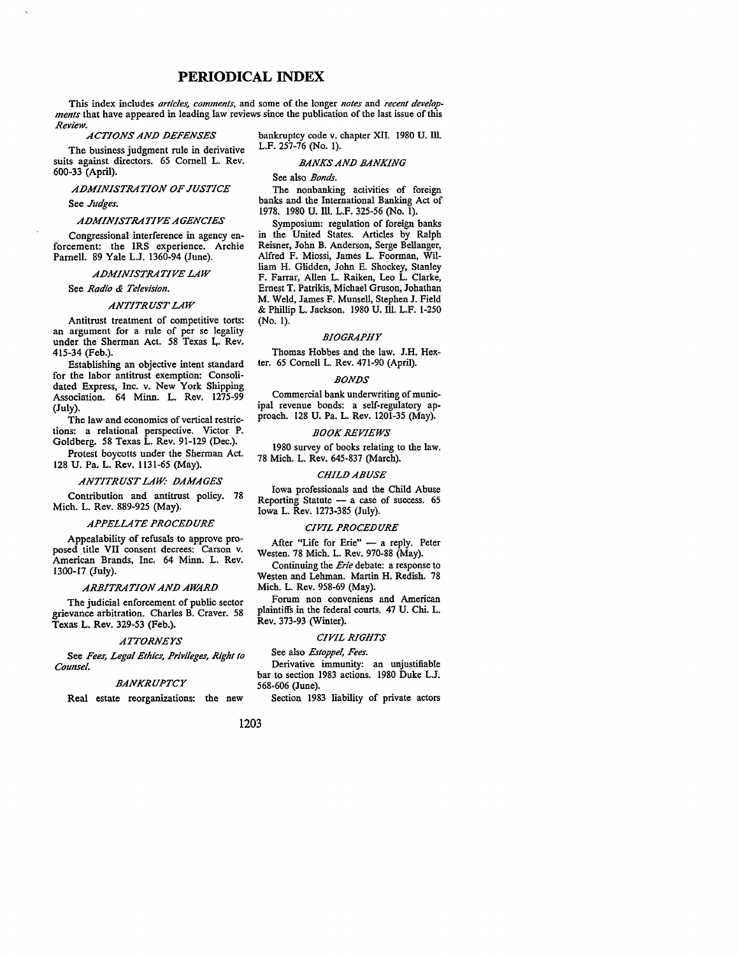## **PERIODICAL INDEX**

This index includes *articles, comments,* and some of the longer *notes* and *recent developments* that have appeared in leading law reviews since the publication of the last issue of this *Review.* 

*ACTIONS AND DEFENSES* 

The business judgment rule in derivative suits against directors. 65 Cornell L. Rev. 600-33 (April).

### *ADMINISTRATION OF JUSTICE*

See *Judges.* 

### *ADMINISTRATIVE AGENCIES*

Congressional interference in agency enforcement: the IRS experience. Archie Parnell. 89 Yale L.J. 1360-94 (June).

### *ADMINISTRATIVE LAW*

See *Radio & Television.* 

### *ANTITRUST LAW*

Antitrust treatment of competitive torts: an argument for a rule of per se legality under the Sherman Act. 58 Texas L. Rev. 415-34 (Feb.).

Establishing an objective intent standard for the labor antitrust exemption: Consolidated Express, Inc. v. New York Shipping Association. 64 Minn. L. Rev. 1275-99 (July).

The law and economics of vertical restrictions: a relational perspective. Victor P. Goldberg. 58 Texas L. Rev. 91-129 (Dec.).

Protest boycotts under the Sherman Act. 128 U. Pa. L. Rev. 1131-65 (May).

#### *ANTITRUST LAW.· DAMAGES*

Contribution and antitrust policy. 78 Mich. L. Rev. 889-925 (May).

#### *APPELLATE PROCEDURE*

Appealability of refusals to approve proposed title VII consent decrees: Carson v. American Brands, Inc. 64 Minn. L. Rev. 1300-17 (July).

#### *ARBITRATION AND AWARD*

The judicial enforcement of public sector grievance arbitration. Charles B. Craver. 58 Texas L. Rev. 329-53 (Feb.).

### *A7TORNEYS*

See *Fees, Legal Ethics, Privileges, Right to Counsel.* 

#### *BANKRUPTCY*

Real estate reorganizations: the new

bankruptcy code v. chapter XII. 1980 U. Ill. L.F. 257-76 (No. 1).

### *BANKS AND BANKING*

See also *Bonds.* 

The nonbanking activities of foreign banks and the International Banking Act of 1978. 1980 U. Ill. L.F. 325-56 (No. 1).

Symposium: regulation of foreign banks in the United States. Articles by Ralph Reisner, John B. Anderson, Serge Bellanger, Alfred F. Miossi, James L. Foorman, William H. Glidden, John E. Shockey, Stanley F. Farrar, Allen L. Raiken, Leo L. Clarke, Ernest T. Patrikis, Michael Gruson, Johathan M. Weld, James F. Munsell, Stephen J. Field & Phillip L. Jackson. 1980 U. Ill. L.F. 1-250 (No. 1).

#### *BIOGRAPHY*

Thomas Hobbes and the law. J.H. Hexter. 65 Cornell L. Rev. 471-90 (April).

### *BONDS*

Commercial bank underwriting of municipal revenue bonds: a self-regulatory approach. 128 U. Pa. L. Rev. 1201-35 (May).

### *BOOK REVIEWS*

1980 survey of books relating to the law. 78 Mich. L. Rev. 645-837 (March).

#### *CHILD ABUSE*

Iowa professionals and the Child Abuse Reporting Statute  $-$  a case of success. 65 Iowa L. Rev. 1273-385 (July).

#### *CIVIL PROCEDURE*

After "Life for Erie"  $-$  a reply. Peter Westen. 78 Mich. L. Rev. 970-88 (May).

Continuing the *Erie* debate: a response to Westen and Lehman. Martin H. Redish. 78 Mich. L. Rev. 958-69 (May).

Forum non conveniens and American plaintiffs in the federal courts. 47 U. Chi. L. Rev. 373-93 (Winter).

### *CIVIL RIGHTS*

See also *Estoppel, Fees.* 

Derivative immunity: an unjustifiable bar to section 1983 actions. 1980 Duke L.J. 568-606 (June).

Section 1983 liability of private actors

### 1203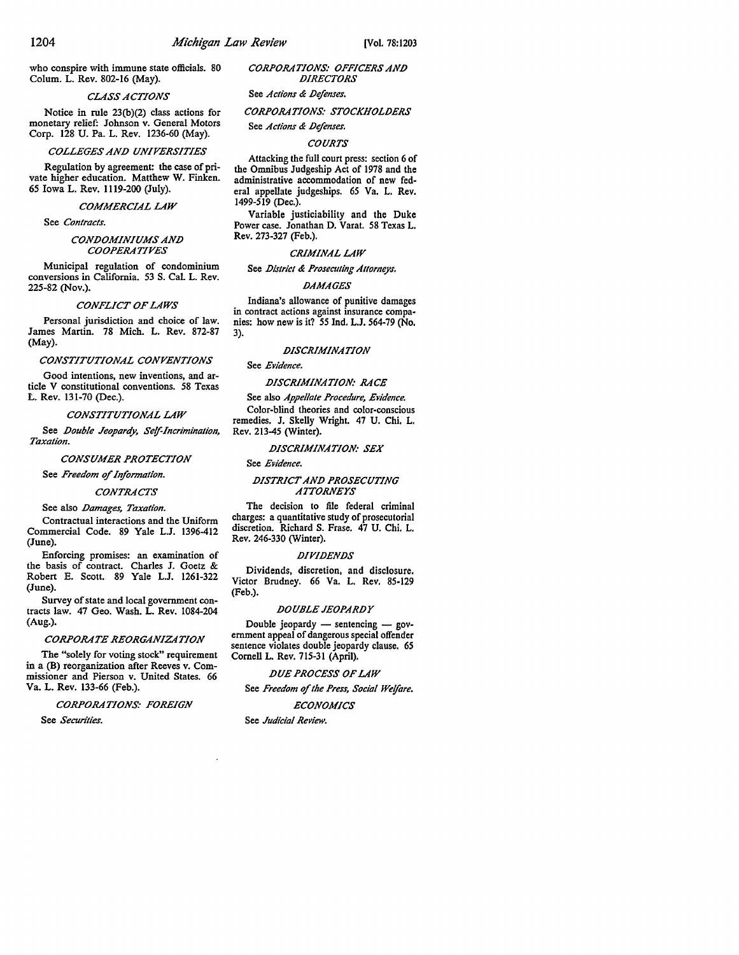who conspire with immune state officials. 80 Colum. L. Rev. 802-16 (May).

### *CLASS ACTIONS*

Notice in rule 23(b)(2) class actions for monetary relief: Johnson v. General Motors Corp. 128 U. Pa. L. Rev. 1236-60 (May).

#### *COLLEGES AND UNIVERSITIES*

Regulation by agreement: the case of private higher education. Matthew W. Finken. 65 Iowa L. Rev. 1119-200 (July).

### *COMMERCIAL LAW*

See *Contracts.* 

### *CONDOMINIUMS AND COOPERATIVES*

Municipal regulation of condominium conversions in California. 53 S. Cal. L. Rev. 225-82 (Nov.).

### *CONFLICT OF LAWS*

Personal jurisdiction and choice of law. James Martin. 78 Mich. L. Rev. 872-87 (May).

*CONSTITUTIONAL CONVENTIONS* 

Good intentions, new inventions, and article V constitutional conventions. 58 Texas L. Rev. 131-70 (Dec.).

#### *CONSTITUTIONAL LAW*

See *Double Jeopardy, Self-Incrimination, Taxation.* 

*CONSUMER PROTECTION* 

See *Freedom of Information*.

### *CONTRACTS*

### See also *Damages, Taxation.*

Contractual interactions and the Uniform Commercial Code. 89 Yale L.J. 1396-412 (June).

Enforcing promises: an examination of the basis of contract. Charles J. Goetz & Robert E. Scott. 89 Yale L.J. 1261-322 (June).

Survey of state and local government contracts law. 47 Geo. Wash. L. Rev. 1084-204 (Aug.).

### *CORPORATE REORGANIZATION*

The "solely for voting stock" requirement in a {B) reorganization after Reeves v. Commissioner and Pierson v. United States. 66 Va. L. Rev. 133-66 (Feb.).

*CORPORATIONS: FOREIGN* 

See *Securities.* 

*CORPORATIONS: OFFICERS AND DIRECTORS* 

### See *Actions & Defenses.*

### *CORPORATIONS: STOCKHOLDERS*

See *Actions & Defenses.* 

#### *COURTS*

Attacking the full court press: section 6 of the Omnibus Judgeship Act of 1978 and the administrative accommodation of new federal appellate judgeships. *65* Va. L. Rev. 1499-519 (Dec.).

Variable justiciability and the Duke Power case. Jonathan D. Varat. *58* Texas L. Rev. 273-327 (Feb.).

#### *CRIMINAL LAW*

See *District & Prosecuting Allorneys.* 

#### *DAMAGES*

Indiana's allowance of punitive damages in contract actions against insurance compa• nies: how new is it? *55* Ind. L.J. 564-79 (No. 3).

#### *DISCRIMINATION*

See *Evidence.* 

*DISCRIMINATION: RACE* 

See also *Appellate Procedure, Evidence.*  Color-blind theories and color-conscious remedies. J. Skelly Wright. 47 U. Chi. L. Rev. 213-45 (Winter).

### *DISCRIMINATION: SEX*

### See *Evidence.*

### *DISTRICT AND PROSECUTING A1TORNEYS*

The decision to file federal criminal charges: a quantitative study of prosecutorial discretion. Richard S. Frase. 47 U. Chi, L. Rev. 246-330 (Winter).

#### *DIVIDENDS*

Dividends, discretion, and disclosure. Victor Brudney. 66 Va. L. Rev. 85-129 (Feb.).

### *DOUBLE JEOPARDY*

Double jeopardy  $-$  sentencing  $-$  government appeal of dangerous special offender sentence violates double jeopardy clause. *65*  Cornell L. Rev. 715-31 (April),

*DUE PROCESS OF LAW* 

See *Freedom* of *the Press, Social Welfare.* 

*ECONOMICS* 

See *Judicial Review.*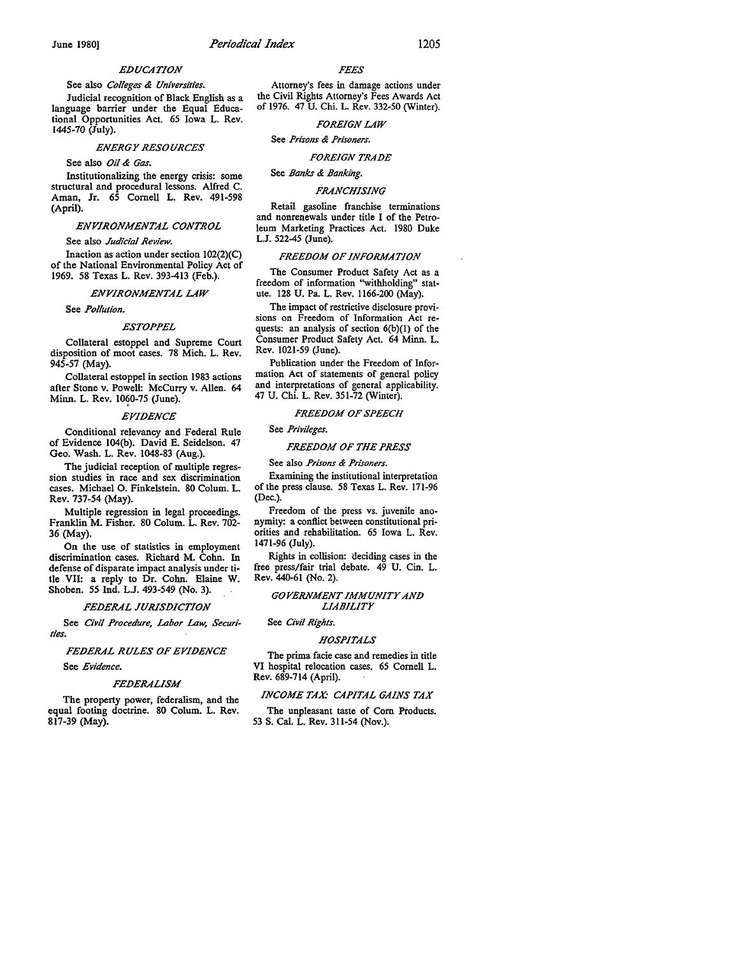### *EDUCATION*

See also *Colleges & Universities.*  Judicial recognition of Black English as a language barrier under the Equal Educational Opportunities Act. 65 Iowa L. Rev. 1445-70 (July).

### *ENERGY RESOURCES*

See also *Oil & Gas.* 

Institutionalizing the energy crisis: some structural and procedural lessons. Alfred C. Aman, Jr. 65 Cornell L. Rev. 491-598 (April).

### *ENVIRONMENTAL CONTROL*

See also *Judicial Review.* 

Inaction as action under section 102(2}(C) of the National Environmental Policy Act of 1969. 58 Texas L. Rev. 393-413 (Feb.).

#### *ENVIRONMENTAL LAW*

See *Pollution.* 

#### *ESTOPPEL*

Collateral estoppel and Supreme Court disposition of moot cases. 78 Mich. L. Rev. 945-57 (May).

Collateral estoppel in section 1983 actions after Stone v. Powell: Mccurry v. Allen. 64 Minn. L. Rev. 1060-75 (June).

#### *EVIDENCE*

Conditional relevancy and Federal Rule of Evidence 104(b). David E. Seidelson. 47 Geo. Wash. L. Rev. 1048-83 (Aug.).

The judicial reception of multiple regression studies in race and sex discrimination cases. Michael 0. Finkelstein. 80 Colum. L. Rev. 737-54 (May).

Multiple regression in legal proceedings. Franklin M. Fisher. 80 Colum. L. Rev. 702- 36 (May).

On the use of statistics in employment discrimination cases. Richard **M.** Cohn. In defense of disparate impact analysis under title VII: a reply to Dr. Cohn. Elaine W. Shoben. *55* Ind. L.J. 493-549 (No. 3).

#### *FEDERAL JURISDICTION*

See *Civil Procedure, Labor Law, Securities.* 

#### *FEDERAL RULES OF EVIDENCE*

See *Evidence.* 

#### *FEDERALISM*

The property power, federalism, and the equal footing doctrine. 80 Colum. L. Rev. 817-39 (May).

#### *FEES*

Attorney's fees in damage actions under the Civil Rights Attorney's Fees Awards Act of 1976. 47 U. Chi. L. Rev. 332-50 (Winter).

### *FOREIGN LAW*

See *Prisons & Prisoners.* 

# *FOREIGN TRADE*

See *Banks & Banking.* 

### *FRANCHISING*

Retail gasoline franchise terminations and nonrenewals under title I of the Petroleum Marketing Practices Act. 1980 Duke L.J. 522-45 (June).

#### *FREEDOM OF INFORMATION*

The Consumer Product Safety Act as a freedom of information ''withholding" statute. 128 U. Pa. L. Rev. 1166-200 (May).

The impact of restrictive disclosure provisions on Freedom of Information Act requests: an analysis of section 6{b}(l) of the Consumer Product Safety Act. 64 Minn. L. **Rev.** 1021-59 (June).

Publication under the Freedom of Information Act of statements of general policy and interpretations of general applicability. 47 U. Chi. L. Rev. 351-72 (Winter).

#### *FREEDOM OF SPEECH*

### See *Privileges.*

### *FREEDOM OF THE PRESS*

See also *Prisons & Prisoners.* 

Examining the institutional interpretation of the press clause. 58 Texas L. Rev. 171-96 (Dec.).

Freedom of the press vs. juvenile anonymity: a conflict between constitutional priorities and rehabilitation. 65 Iowa L. Rev. 1471-96 (July).

Rights in collision: deciding cases in the free press/fair trial debate. 49 U. Cin. L. Rev. 440-61 (No. 2).

### *GOVERNMENT IMMUNITY AND LIABILITY*

### See *Civil Rights.*

#### *HOSPITALS*

The prima facie case and remedies in title VI hospital relocation cases. 65 Cornell L. Rev. 689-714 (April).

#### *INCOME TAX: CAPITAL GAINS TAX*

The unpleasant taste of Com Products. 53 S. Cal. L. Rev. 311-54 (Nov.).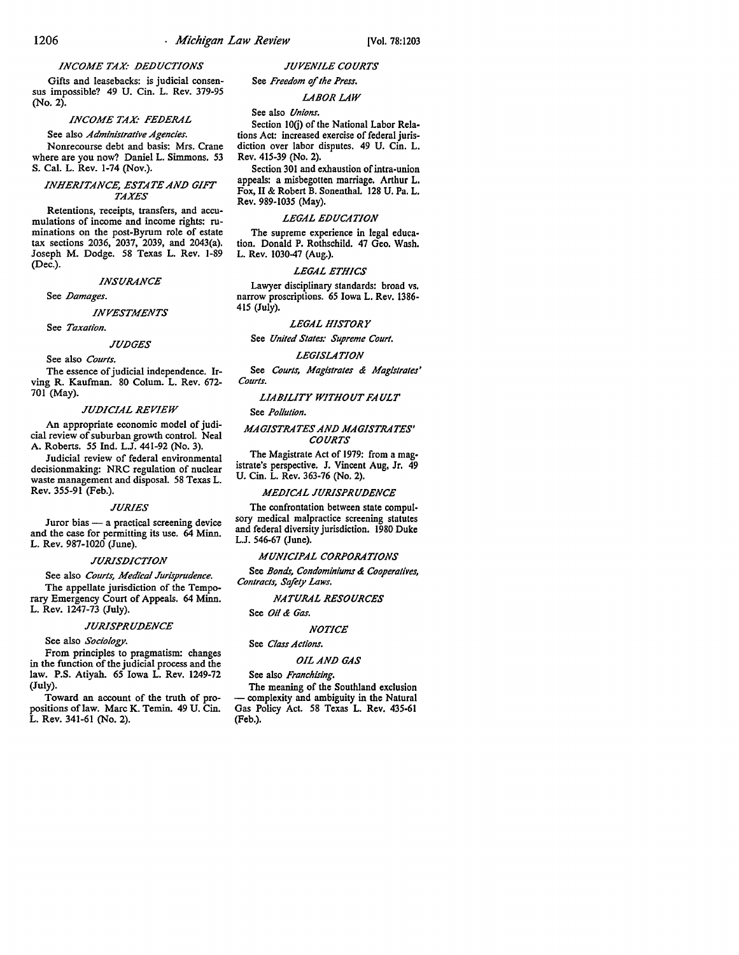### **INCOME TAX: DEDUCTIONS**

Gifts and leasebacks: is judicial consensus impossible? 49 U. Cin. L. Rev. 379-95 (No. 2).

### **INCOME TAX: FEDERAL**

See also *Administrative Agencies.*  Nonrecourse debt and basis: Mrs. Crane where are you now? Daniel L. Simmons. 53 S. Cal. L. Rev. 1-74 (Nov.).

### **INHERITANCE, ESTATE AND GIFT** *TAXES*

Retentions, receipts, transfers, and accumulations of income and income rights: ruminations on the post-Byrum role of estate tax sections 2036, 2037, 2039, and 2043(a). Joseph M. Dodge. 58 Texas L. Rev. 1-89 (Dec.).

### *INSURANCE*

See *Damages*.

*INVESTMENTS* 

See *Taxation.* 

### *JU.DGES*

See also *Courts.* 

The essence of judicial independence. Irving R. Kaufman. 80 Colum. L. Rev. 672- 701 (May).

#### *JU.DIC/AL REVIEW*

An appropriate economic model of judicial review of suburban growth control. Neal A. Roberts. *55* Ind. L.J. 441-92 (No. 3).

Judicial review of federal environmental decisionmaking: NRC regulation of nuclear waste management and disposal. 58 Texas L. Rev. 355-91 (Feb.).

#### *JURIES*

Juror bias - a practical screening device and the case for permitting its use. 64 Minn. L. Rev. 987-1020 (June).

#### **JURISDICTION**

See also *Courts, Medical Jurisprudence.*  The appellate jurisdiction of the Temporary Emergency Court of Appeals. 64 Minn. L. Rev. 1247-73 (July).

### *JURISPRU.DENCE*

See also *Sociology.* 

From principles to pragmatism: changes in the function of the judicial process and the law. P.S. Atiyah. 65 Iowa L. Rev. 1249-72 (July).

Toward an account of the truth of propositions of law. Marc K. Temin. 49 U. Cin. L. Rev. 341-61 (No. 2).

### *JUVENILE COURTS*

# See *Freedom of the Press.*

### *LABOR LAW*

### See also *Unions.*

Section IO(j) of the National Labor Relations Act: increased exercise of federal jurisdiction over labor disputes. 49 U. Cin. L. Rev. 415-39 (No. 2).

Section 301 and exhaustion of intra-union appeals: a misbegotten marriage. Arthur L. Fox, II & Robert B. Sonenthal. 128 U. Pa. L. Rev. 989-1035 (May).

#### *LEGAL EDUCATION*

The supreme experience in legal education. Donald P. Rothschild. 47 Geo. Wash. L. Rev. 1030-47 (Aug.).

#### *LEGAL ETHICS*

Lawyer disciplinary standards: broad vs. narrow proscriptions. 65 Iowa L. Rev. 1386- 415 (July).

#### *LEGAL HISTORY*

See *United States: Supreme Court.* 

### *LEGISLATION*

See *Courts, Magistrates & Magistrates' Courts.* 

### *LIABILITY WITHOUT FA ULT*

See *Pollution.* 

#### *MAGISTRATES AN.D MAGISTRATES' COURTS*

The Magistrate Act of 1979: from a magistrate's perspective. J. Vincent Aug, Jr. 49 U. Cin. L. Rev. 363-76 (No. 2).

#### *MEDICAL JURISPRUDENCE*

The confrontation between state compulsory medical malpractice screening statutes and federal diversity jurisdiction. 1980 Duke L.J. 546-67 (June).

#### *MUNICIPAL CORPORATIONS*

See *Bonds, Condominiums & Cooperatives, Contracts, Safety Laws.* 

### *NATURAL RESOURCES*

# See *Oil & Gas.*

### *NOTICE*

### See *Class Actions.*

### **OIL AND GAS**

#### See also *Franchising.*

The meaning of the Southland exclusion complexity and ambiguity in the Natural Gas Policy Act. 58 Texas L. Rev. 435-61 (Feb.).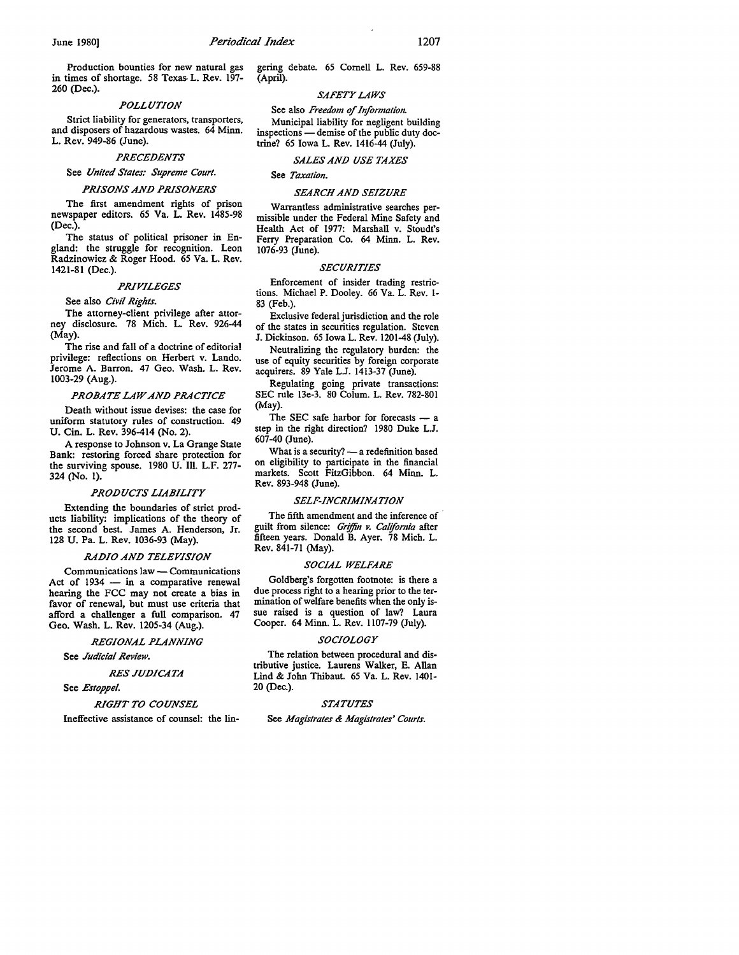Production bounties for new natural gas in times of shortage. 58 Texas- L. Rev. 197-260 (Dec.).

### *POLLUTION*

Strict liability for generators, transporters, and disposers of hazardous wastes. 64 Minn. L. Rev. 949-86 (June).

#### *PRECEDENTS*

### See *United States: Supreme Court.*

#### *PRISONS AND PRISONERS*

The first amendment rights of prison newspaper editors. 65 Va. L. Rev. 1485-98 (Dec.).

The status of political prisoner in England: the struggle for recognition. Leon Radzinowicz & Roger Hood. 65 Va. L. Rev. 1421-81 (Dec.).

#### *PRIVILEGES*

### See also *Civil Rights.*

The attorney-client privilege after attorney disclosure. 78 Mich. L. Rev. 926-44 (May).

The rise and fall of a doctrine of editorial privilege: reflections on Herbert v. Lando. Jerome A. Barron. 47 Geo. Wash. L. Rev. 1003-29 (Aug.).

#### *PROBATE LAW AND PRACTICE*

Death without issue devises: the case for uniform statutory rules of construction. 49 U. Cin. L. Rev. 396-414 (No. 2).

A response to Johnson v. La Grange State Bank: restoring forced share protection for the surviving spouse. 1980 U. Ill. L.F. 277- 324 (No. 1).

### *PRODUCTS LIABILITY*

Extending the boundaries of strict products liability: implications of the theory of the second best. James A. Henderson, Jr. 128 U. Pa. L. Rev. 1036-93 (May).

### *RADIO AND TELEVISION*

Communications law - Communications Act of  $1934 - in$  a comparative renewal hearing the FCC may not create a bias in favor of renewal, but must use criteria that afford a challenger a full comparison. 47 Geo. Wash. L. Rev. 1205-34 (Aug.).

*REGIONAL PLANNING*  See *Judicial Review.* 

## *RES JUD/CATA*

See *Estoppel.* 

### *RIGHT TO COUNSEL*

Ineffective assistance of counsel: the lin-

gering debate. 65 Cornell L. Rev. 659-88 (April).

### *SAFETY LAWS*

See also *Freedom of Information.* 

Municipal liability for negligent building inspections - demise of the public duty doctrine? 65 Iowa L. Rev. 1416-44 (July).

### *SALES AND USE TAXES*

**See** *Taxation.* 

### *SEARCH AND SEIZURE*

Warrantless administrative searches permissible under the Federal Mine Safety and Health Act of 1977: Marshall v. Stoudt's Ferry Preparation Co. 64 Minn. L. Rev. 1076-93 (June).

### *SECURITIES*

Enforcement of insider trading restrictions. Michael P. Dooley. 66 Va. L. Rev. 1- 83 (Feb.).

Exclusive federal jurisdiction and the role of the states in securities regulation. Steven J. Dickinson. 65 Iowa L. Rev. 1201-48 (July).

Neutralizing the regulatory burden: the use of equity securities by foreign corporate acquirers. 89 Yale L.J. 1413-37 (June).

Regulating going private transactions: SEC rule 13e-3. 80 Colum. L. Rev. 782-801 (May).

The SEC safe harbor for forecasts  $-$  a step in the right direction? 1980 Duke L.J. 607-40 (June).

What is a security?  $-$  a redefinition based on eligibility to participate in the financial markets. Scott FitzGibbon. 64 Minn. L. **Rev.** 893-948 (June).

#### *SELF-INCRIMINATION*

The fifth amendment and the inference of guilt from silence: *Gr!ffin v. California* after fifteen years. Donald B. Ayer. 78 Mich. L. Rev. 841-71 (May).

### *SOCIAL WELFARE*

Goldberg's forgotten footnote: is there a due process right to a hearing prior to the termination of welfare benefits when the only issue raised is a question of law? Laura Cooper. 64 Minn. L. Rev. 1107-79 (July).

#### *SOCIOLOGY*

The relation between procedural and distributive justice. Laurens Walker, E. Allan Lind & John Thibaut. 65 Va. L. Rev. 1401- 20 (Dec.).

### *STATUTES*

See *Magistrates & Magistrates' Courts.*